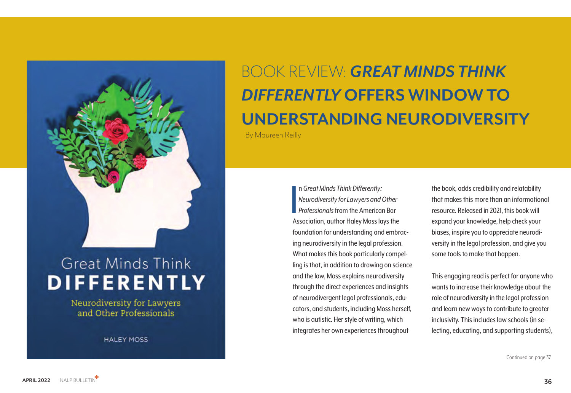

## **Great Minds Think DIFFERENTLY**

Neurodiversity for Lawyers and Other Professionals

**HALEY MOSS** 

**APRIL 2022** NALP BULLETIN **36**

Continued on page 37

I<br>I<br>Ac n *Great Minds Think Differently: Neurodiversity for Lawyers and Other Professionals* from the American Bar Association, author Haley Moss lays the foundation for understanding and embracing neurodiversity in the legal profession. What makes this book particularly compelling is that, in addition to drawing on science and the law, Moss explains neurodiversity through the direct experiences and insights of neurodivergent legal professionals, educators, and students, including Moss herself, who is autistic. Her style of writing, which integrates her own experiences throughout

the book, adds credibility and relatability that makes this more than an informational resource. Released in 2021, this book will expand your knowledge, help check your biases, inspire you to appreciate neurodiversity in the legal profession, and give you some tools to make that happen.

This engaging read is perfect for anyone who wants to increase their knowledge about the role of neurodiversity in the legal profession and learn new ways to contribute to greater inclusivity. This includes law schools (in selecting, educating, and supporting students),

# BOOK REVIEW: *GREAT MINDS THINK DIFFERENTLY* **OFFERS WINDOW TO UNDERSTANDING NEURODIVERSITY**

By Maureen Reilly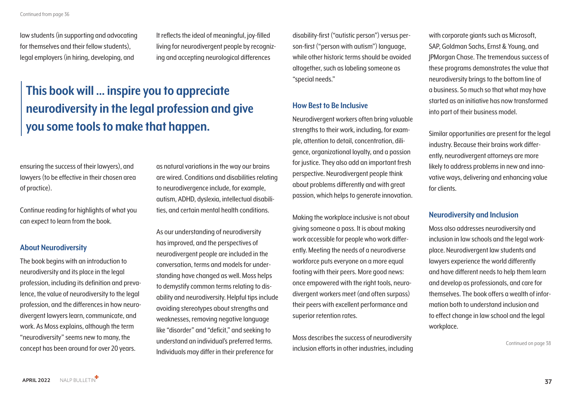Continued on page 38

law students (in supporting and advocating for themselves and their fellow students), legal employers (in hiring, developing, and

ensuring the success of their lawyers), and lawyers (to be effective in their chosen area of practice).

Continue reading for highlights of what you can expect to learn from the book.

#### **About Neurodiversity**

The book begins with an introduction to neurodiversity and its place in the legal profession, including its definition and prevalence, the value of neurodiversity to the legal profession, and the differences in how neurodivergent lawyers learn, communicate, and work. As Moss explains, although the term "neurodiversity" seems new to many, the concept has been around for over 20 years.

It reflects the ideal of meaningful, joy-filled living for neurodivergent people by recognizing and accepting neurological differences

as natural variations in the way our brains are wired. Conditions and disabilities relating to neurodivergence include, for example, autism, ADHD, dyslexia, intellectual disabilities, and certain mental health conditions.

As our understanding of neurodiversity has improved, and the perspectives of neurodivergent people are included in the conversation, terms and models for understanding have changed as well. Moss helps to demystify common terms relating to disability and neurodiversity. Helpful tips include avoiding stereotypes about strengths and weaknesses, removing negative language like "disorder" and "deficit," and seeking to understand an individual's preferred terms. Individuals may differ in their preference for

disability-first ("autistic person") versus person-first ("person with autism") language, while other historic terms should be avoided altogether, such as labeling someone as "special needs."

#### **How Best to Be Inclusive**

Neurodivergent workers often bring valuable strengths to their work, including, for example, attention to detail, concentration, diligence, organizational loyalty, and a passion for justice. They also add an important fresh perspective. Neurodivergent people think about problems differently and with great passion, which helps to generate innovation.

Making the workplace inclusive is not about giving someone a pass. It is about making work accessible for people who work differently. Meeting the needs of a neurodiverse workforce puts everyone on a more equal footing with their peers. More good news: once empowered with the right tools, neurodivergent workers meet (and often surpass) their peers with excellent performance and superior retention rates.

Moss describes the success of neurodiversity inclusion efforts in other industries, including

with corporate giants such as Microsoft, SAP, Goldman Sachs, Ernst & Young, and JPMorgan Chase. The tremendous success of these programs demonstrates the value that neurodiversity brings to the bottom line of a business. So much so that what may have started as an initiative has now transformed into part of their business model.

Similar opportunities are present for the legal industry. Because their brains work differently, neurodivergent attorneys are more likely to address problems in new and innovative ways, delivering and enhancing value for clients.

#### **Neurodiversity and Inclusion**

Moss also addresses neurodiversity and inclusion in law schools and the legal workplace. Neurodivergent law students and lawyers experience the world differently and have different needs to help them learn and develop as professionals, and care for themselves. The book offers a wealth of information both to understand inclusion and to effect change in law school and the legal

workplace.

### **This book will … inspire you to appreciate neurodiversity in the legal profession and give you some tools to make that happen.**